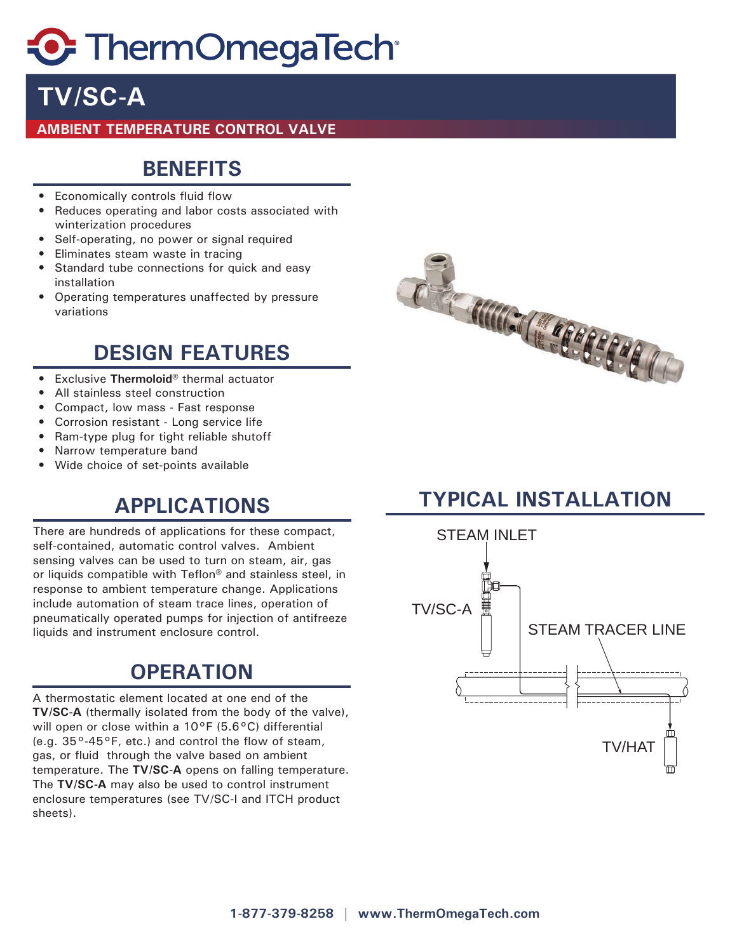# **C** ThermOmegaTech

## **TV/SC-A**

#### **AMBIENT TEMPERATURE CONTROL VALVE**

#### **BENEFITS**

- Economically controls fluid flow
- Reduces operating and labor costs associated with winterization procedures
- Self-operating, no power or signal required
- Eliminates steam waste in tracing
- Standard tube connections for quick and easy installation
- Operating temperatures unaffected by pressure variations

### **DESIGN FEATURES**

- Exclusive **Thermoloid®** thermal actuator
- All stainless steel construction
- Compact, low mass Fast response
- Corrosion resistant Long service life
- Ram-type plug for tight reliable shutoff
- Narrow temperature band
- Wide choice of set-points available

There are hundreds of applications for these compact, self-contained, automatic control valves. Ambient sensing valves can be used to turn on steam, air, gas or liquids compatible with Teflon® and stainless steel, in response to ambient temperature change. Applications include automation of steam trace lines, operation of pneumatically operated pumps for injection of antifreeze liquids and instrument enclosure control.

### **OPERATION**

A thermostatic element located at one end of the **TV/SC-A** (thermally isolated from the body of the valve), will open or close within a 10°F (5.6°C) differential (e.g.  $35^{\circ}$ -45°F, etc.) and control the flow of steam, gas, or fluid through the valve based on ambient temperature. The **TV/SC-A** opens on falling temperature. The **TV/SC-A** may also be used to control instrument enclosure temperatures (see TV/SC-I and ITCH product sheets).



## **APPLICATIONS TYPICAL INSTALLATION**